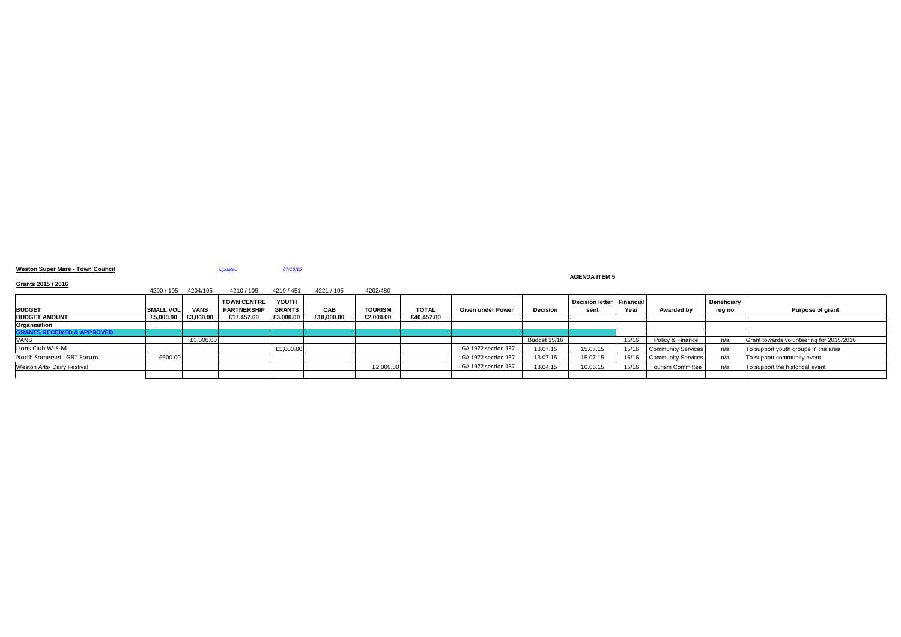**Weston Super Mare - Town Council** *Updated 07/10/15*

# **AGENDA ITEM 5**

# **Grants 2015 / 2016**

|                                       | 4200 / 105       | 4204/105    | 4210 / 105         | 4219 / 451    | 4221 / 105 | 4202/480       |              |                          |                 |                             |       |                           |                    |                                          |
|---------------------------------------|------------------|-------------|--------------------|---------------|------------|----------------|--------------|--------------------------|-----------------|-----------------------------|-------|---------------------------|--------------------|------------------------------------------|
|                                       |                  |             | <b>TOWN CENTRE</b> | YOUTH         |            |                |              |                          |                 | Decision letter   Financial |       |                           | <b>Beneficiary</b> |                                          |
| <b>BUDGET</b>                         | <b>SMALL VOL</b> | <b>VANS</b> | <b>PARTNERSHIP</b> | <b>GRANTS</b> | <b>CAB</b> | <b>TOURISM</b> | <b>TOTAL</b> | <b>Given under Power</b> | <b>Decision</b> | sent                        | Year  | <b>Awarded by</b>         | reg no             | <b>Purpose of grant</b>                  |
| <b>BUDGET AMOUNT</b>                  | £5,000.00        | £3,000.00   | £17,457.00         | £3,000.00     | £10,000.00 | £2,000.00      | £40,457.00   |                          |                 |                             |       |                           |                    |                                          |
| Organisation                          |                  |             |                    |               |            |                |              |                          |                 |                             |       |                           |                    |                                          |
| <b>GRANTS RECEIVED &amp; APPROVED</b> |                  |             |                    |               |            |                |              |                          |                 |                             |       |                           |                    |                                          |
| <b>VANS</b>                           |                  | £3,000.00   |                    |               |            |                |              |                          | Budget 15/16    |                             | 15/16 | Policy & Finance          | n/a                | Grant towards volunteering for 2015/2016 |
| Lions Club W-S-M                      |                  |             |                    | £1,000.00     |            |                |              | LGA 1972 section 137     | 13.07.15        | 15.07.15                    | 15/16 | <b>Community Services</b> | n/a                | To support youth groups in the area      |
| North Somerset LGBT Forum             | £500.00          |             |                    |               |            |                |              | LGA 1972 section 137     | 13.07.15        | 15.07.15                    | 15/16 | Community Services        | n/a                | To support community event               |
| <b>Weston Arts- Dairy Festival</b>    |                  |             |                    |               |            | £2,000.00      |              | LGA 1972 section 137     | 13.04.15        | 10.06.15                    | 15/16 | <b>Tourism Committee</b>  | n/a                | To support the historical event          |
|                                       |                  |             |                    |               |            |                |              |                          |                 |                             |       |                           |                    |                                          |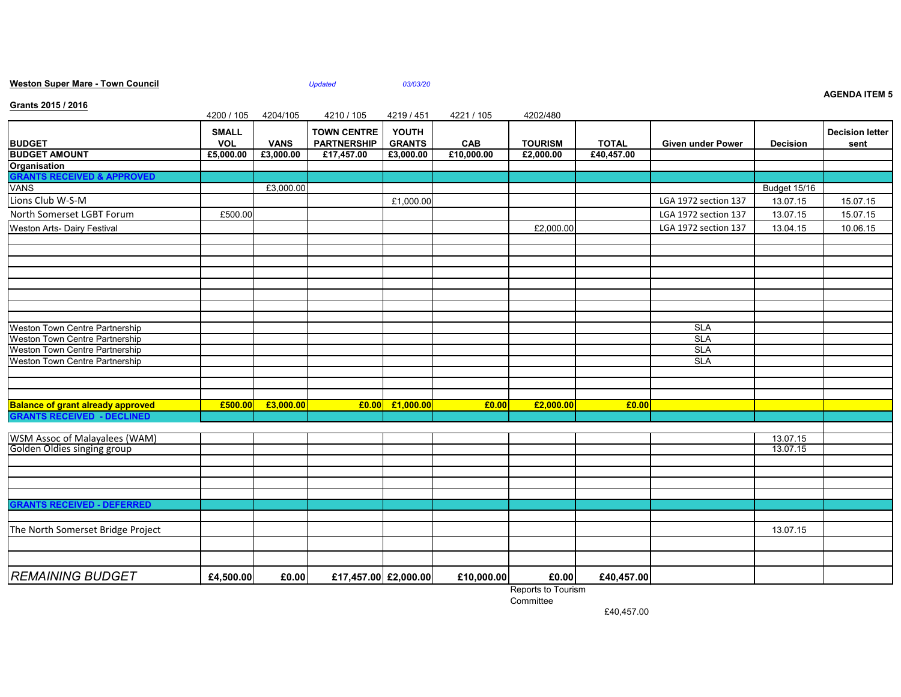|                                                              |                            |             |                                          |                                 |            |                |              |                          |                     | <b>AGENDA ITEM 5</b>           |
|--------------------------------------------------------------|----------------------------|-------------|------------------------------------------|---------------------------------|------------|----------------|--------------|--------------------------|---------------------|--------------------------------|
| Grants 2015 / 2016                                           | 4200 / 105                 | 4204/105    | 4210 / 105                               | 4219 / 451                      | 4221 / 105 | 4202/480       |              |                          |                     |                                |
| <b>BUDGET</b>                                                | <b>SMALL</b><br><b>VOL</b> | <b>VANS</b> | <b>TOWN CENTRE</b><br><b>PARTNERSHIP</b> | <b>YOUTH</b><br><b>GRANTS</b>   | <b>CAB</b> | <b>TOURISM</b> | <b>TOTAL</b> | <b>Given under Power</b> | <b>Decision</b>     | <b>Decision letter</b><br>sent |
| <b>BUDGET AMOUNT</b>                                         | £5,000.00                  | £3,000.00   | £17,457.00                               | £3,000.00                       | £10,000.00 | £2,000.00      | £40,457.00   |                          |                     |                                |
| <b>Organisation</b>                                          |                            |             |                                          |                                 |            |                |              |                          |                     |                                |
| <b>GRANTS RECEIVED &amp; APPROVED</b>                        |                            |             |                                          |                                 |            |                |              |                          |                     |                                |
| <b>VANS</b>                                                  |                            | £3,000.00   |                                          |                                 |            |                |              |                          | <b>Budget 15/16</b> |                                |
| Lions Club W-S-M                                             |                            |             |                                          | £1,000.00                       |            |                |              | LGA 1972 section 137     | 13.07.15            | 15.07.15                       |
| North Somerset LGBT Forum                                    | £500.00                    |             |                                          |                                 |            |                |              | LGA 1972 section 137     | 13.07.15            | 15.07.15                       |
| <b>Weston Arts- Dairy Festival</b>                           |                            |             |                                          |                                 |            | £2,000.00      |              | LGA 1972 section 137     | 13.04.15            | 10.06.15                       |
|                                                              |                            |             |                                          |                                 |            |                |              |                          |                     |                                |
|                                                              |                            |             |                                          |                                 |            |                |              |                          |                     |                                |
|                                                              |                            |             |                                          |                                 |            |                |              |                          |                     |                                |
|                                                              |                            |             |                                          |                                 |            |                |              |                          |                     |                                |
|                                                              |                            |             |                                          |                                 |            |                |              |                          |                     |                                |
|                                                              |                            |             |                                          |                                 |            |                |              |                          |                     |                                |
| Weston Town Centre Partnership                               |                            |             |                                          |                                 |            |                |              | <b>SLA</b>               |                     |                                |
| <b>Weston Town Centre Partnership</b>                        |                            |             |                                          |                                 |            |                |              | <b>SLA</b>               |                     |                                |
| Weston Town Centre Partnership                               |                            |             |                                          |                                 |            |                |              | <b>SLA</b>               |                     |                                |
| Weston Town Centre Partnership                               |                            |             |                                          |                                 |            |                |              | <b>SLA</b>               |                     |                                |
|                                                              |                            |             |                                          |                                 |            |                |              |                          |                     |                                |
|                                                              |                            |             |                                          |                                 |            |                |              |                          |                     |                                |
| <b>Balance of grant already approved</b>                     | £500.00                    | £3,000.00   |                                          | $\vert$ £0.00 $\vert$ £1,000.00 | £0.00      | £2,000.00      | £0.00        |                          |                     |                                |
| <b>GRANTS RECEIVED - DECLINED</b>                            |                            |             |                                          |                                 |            |                |              |                          |                     |                                |
|                                                              |                            |             |                                          |                                 |            |                |              |                          | 13.07.15            |                                |
| WSM Assoc of Malayalees (WAM)<br>Golden Oldies singing group |                            |             |                                          |                                 |            |                |              |                          | 13.07.15            |                                |
|                                                              |                            |             |                                          |                                 |            |                |              |                          |                     |                                |
|                                                              |                            |             |                                          |                                 |            |                |              |                          |                     |                                |
|                                                              |                            |             |                                          |                                 |            |                |              |                          |                     |                                |
|                                                              |                            |             |                                          |                                 |            |                |              |                          |                     |                                |
| <b>GRANTS RECEIVED - DEFERRED</b>                            |                            |             |                                          |                                 |            |                |              |                          |                     |                                |
|                                                              |                            |             |                                          |                                 |            |                |              |                          |                     |                                |
| The North Somerset Bridge Project                            |                            |             |                                          |                                 |            |                |              |                          | 13.07.15            |                                |
|                                                              |                            |             |                                          |                                 |            |                |              |                          |                     |                                |
|                                                              |                            |             |                                          |                                 |            |                |              |                          |                     |                                |
| <b>REMAINING BUDGET</b>                                      | £4,500.00                  | £0.00       | £17,457.00 £2,000.00                     |                                 | £10,000.00 | £0.00          | £40,457.00   |                          |                     |                                |

**Weston Super Mare - Town Council** *Updated 03/03/20*

Reports to Tourism

**Committee** 

£40,457.00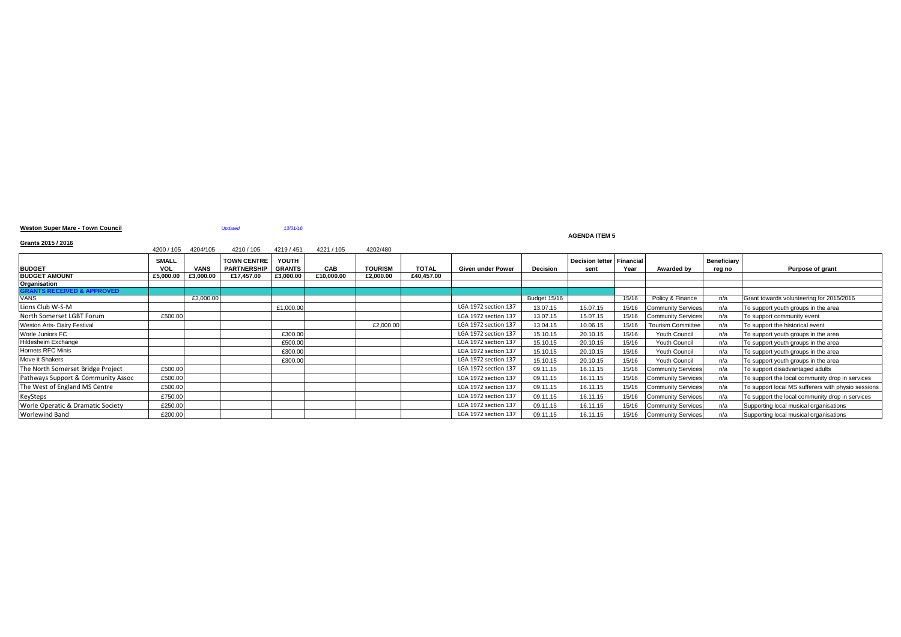### **Weston Super Mare - Town Council** *Updated 13/01/16*

#### **AGENDA ITEM 5**

### **Grants 2015 / 2016**

| 01anis 2019 / 2019                 | 4200 / 105                 | 4204/105    | 4210 / 105                               | 4219 / 451             | 4221 / 105 | 4202/480       |              |                      |                 |                                   |       |                           |                       |                                                    |
|------------------------------------|----------------------------|-------------|------------------------------------------|------------------------|------------|----------------|--------------|----------------------|-----------------|-----------------------------------|-------|---------------------------|-----------------------|----------------------------------------------------|
| <b>BUDGET</b>                      | <b>SMALL</b><br><b>VOL</b> | <b>VANS</b> | <b>TOWN CENTRE</b><br><b>PARTNERSHIP</b> | YOUTH<br><b>GRANTS</b> | CAB        | <b>TOURISM</b> | <b>TOTAL</b> | Given under Power    | <b>Decision</b> | Decision letter Financial<br>sent | Year  | Awarded by                | Beneficiary<br>reg no | Purpose of grant                                   |
| <b>BUDGET AMOUNT</b>               | £5.000.00                  | £3,000.00   | £17.457.00                               | £3.000.00              | £10.000.00 | £2.000.00      | £40.457.00   |                      |                 |                                   |       |                           |                       |                                                    |
| Organisation                       |                            |             |                                          |                        |            |                |              |                      |                 |                                   |       |                           |                       |                                                    |
|                                    |                            |             |                                          |                        |            |                |              |                      |                 |                                   |       |                           |                       |                                                    |
| VANS                               |                            | £3,000.00   |                                          |                        |            |                |              |                      | Budget 15/16    |                                   | 15/16 | Policy & Finance          | n/a                   | Grant towards volunteering for 2015/2016           |
| Lions Club W-S-M                   |                            |             |                                          | £1,000.00              |            |                |              | LGA 1972 section 137 | 13.07.15        | 15.07.15                          | 15/16 | <b>Community Services</b> | n/a                   | To support youth groups in the area                |
| North Somerset LGBT Forum          | £500.00                    |             |                                          |                        |            |                |              | LGA 1972 section 137 | 13.07.15        | 15.07.15                          | 15/16 | <b>Community Services</b> | n/a                   | To support community event                         |
| Weston Arts- Dairy Festival        |                            |             |                                          |                        |            | £2,000.00      |              | LGA 1972 section 137 | 13.04.15        | 10.06.15                          | 15/16 | <b>Tourism Committee</b>  | n/a                   | To support the historical event                    |
| Worle Juniors FC                   |                            |             |                                          | £300.00                |            |                |              | LGA 1972 section 137 | 15.10.15        | 20.10.15                          | 15/16 | Youth Council             | n/a                   | To support youth groups in the area                |
| Hildesheim Exchange                |                            |             |                                          | £500.00                |            |                |              | LGA 1972 section 137 | 15.10.15        | 20.10.15                          | 15/16 | Youth Council             | n/a                   | To support youth groups in the area                |
| Hornets RFC Minis                  |                            |             |                                          | £300.00                |            |                |              | LGA 1972 section 137 | 15.10.15        | 20.10.15                          | 15/16 | Youth Council             | n/a                   | To support youth groups in the area                |
| Move it Shakers                    |                            |             |                                          | £300.00                |            |                |              | LGA 1972 section 137 | 15.10.15        | 20.10.15                          | 15/16 | <b>Youth Council</b>      | n/a                   | To support youth groups in the area                |
| The North Somerset Bridge Project  | £500.00                    |             |                                          |                        |            |                |              | LGA 1972 section 137 | 09.11.15        | 16.11.15                          | 15/16 | <b>Community Services</b> | n/a                   | To support disadvantaged adults                    |
| Pathways Support & Community Assoc | £500.00                    |             |                                          |                        |            |                |              | LGA 1972 section 137 | 09.11.15        | 16.11.15                          |       | 15/16 Community Services  | n/a                   | To support the local community drop in services    |
| The West of England MS Centre      | £500.00                    |             |                                          |                        |            |                |              | LGA 1972 section 137 | 09.11.15        | 16.11.15                          |       | 15/16 Community Services  | n/a                   | To support local MS sufferers with physio sessions |
| KeySteps                           | £750.00                    |             |                                          |                        |            |                |              | LGA 1972 section 137 | 09.11.15        | 16.11.15                          |       | 15/16 Community Services  | n/a                   | To support the local community drop in services    |
| Worle Operatic & Dramatic Society  | £250.00                    |             |                                          |                        |            |                |              | LGA 1972 section 137 | 09.11.15        | 16.11.15                          | 15/16 | <b>Community Services</b> | n/a                   | Supporting local musical organisations             |
| Worlewind Band                     | £200.00                    |             |                                          |                        |            |                |              | LGA 1972 section 137 | 09.11.15        | 16.11.15                          |       | 15/16 Community Services  | n/a                   | Supporting local musical organisations             |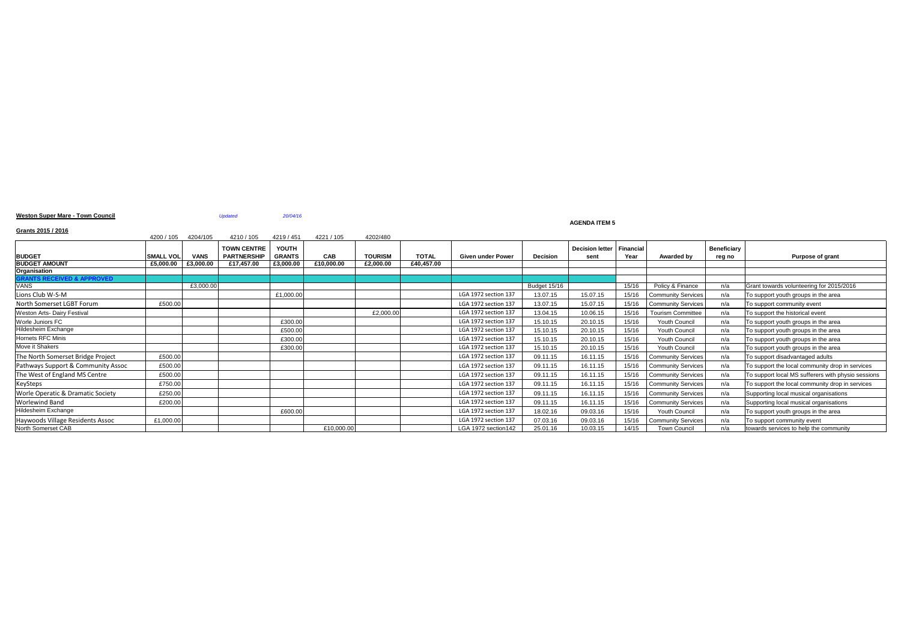### **AGENDA ITEM 5**

# **Weston Super Mare - Town Council 1999 120/04/16** *20/04/16*

# **Grants 2015 / 2016**

| $1$ and $2$ avere $1$ and $1$ and $1$        | 4200 / 105       | 4204/105    | 4210 / 105                               | 4219 / 451                    | 4221 / 105 | 4202/480       |              |                          |                 |                                     |       |                           |                              |                                                    |
|----------------------------------------------|------------------|-------------|------------------------------------------|-------------------------------|------------|----------------|--------------|--------------------------|-----------------|-------------------------------------|-------|---------------------------|------------------------------|----------------------------------------------------|
| <b>BUDGET</b>                                | <b>SMALL VOL</b> | <b>VANS</b> | <b>TOWN CENTRE</b><br><b>PARTNERSHIP</b> | <b>YOUTH</b><br><b>GRANTS</b> | CAB        | <b>TOURISM</b> | <b>TOTAL</b> | <b>Given under Power</b> | <b>Decision</b> | Decision letter   Financial<br>sent | Year  | <b>Awarded by</b>         | <b>Beneficiary</b><br>reg no | Purpose of grant                                   |
| <b>BUDGET AMOUNT</b>                         | £5,000.00        | £3,000.00   | £17,457.00                               | £3,000.00                     | £10,000.00 | £2,000.00      | £40,457.00   |                          |                 |                                     |       |                           |                              |                                                    |
| <b>Organisation</b>                          |                  |             |                                          |                               |            |                |              |                          |                 |                                     |       |                           |                              |                                                    |
| <b>GRANTS RECEIVED &amp; APPROVED</b>        |                  |             |                                          |                               |            |                |              |                          |                 |                                     |       |                           |                              |                                                    |
| <b>VANS</b>                                  |                  | £3,000.00   |                                          |                               |            |                |              |                          | Budget 15/16    |                                     | 15/16 | Policy & Finance          | n/a                          | Grant towards volunteering for 2015/2016           |
| Lions Club W-S-M                             |                  |             |                                          | £1,000.00                     |            |                |              | LGA 1972 section 137     | 13.07.15        | 15.07.15                            | 15/16 | <b>Community Services</b> | n/a                          | To support youth groups in the area                |
| North Somerset LGBT Forum                    | £500.00          |             |                                          |                               |            |                |              | LGA 1972 section 137     | 13.07.15        | 15.07.15                            | 15/16 | <b>Community Services</b> | n/a                          | To support community event                         |
| <b>Weston Arts- Dairy Festival</b>           |                  |             |                                          |                               |            | £2,000.00      |              | LGA 1972 section 137     | 13.04.15        | 10.06.15                            | 15/16 | <b>Tourism Committee</b>  | n/a                          | To support the historical event                    |
| Worle Juniors FC                             |                  |             |                                          | £300.00                       |            |                |              | LGA 1972 section 137     | 15.10.15        | 20.10.15                            | 15/16 | <b>Youth Council</b>      | n/a                          | To support youth groups in the area                |
| Hildesheim Exchange                          |                  |             |                                          | £500.00                       |            |                |              | LGA 1972 section 137     | 15.10.15        | 20.10.15                            | 15/16 | <b>Youth Council</b>      | n/a                          | To support youth groups in the area                |
| Hornets RFC Minis                            |                  |             |                                          | £300.00                       |            |                |              | LGA 1972 section 137     | 15.10.15        | 20.10.15                            | 15/16 | <b>Youth Council</b>      | n/a                          | To support youth groups in the area                |
| Move it Shakers                              |                  |             |                                          | £300.00                       |            |                |              | LGA 1972 section 137     | 15.10.15        | 20.10.15                            | 15/16 | Youth Council             | n/a                          | To support youth groups in the area                |
| The North Somerset Bridge Project            | £500.00          |             |                                          |                               |            |                |              | LGA 1972 section 137     | 09.11.15        | 16.11.15                            | 15/16 | <b>Community Services</b> | n/a                          | To support disadvantaged adults                    |
| Pathways Support & Community Assoc           | £500.00          |             |                                          |                               |            |                |              | LGA 1972 section 137     | 09.11.15        | 16.11.15                            | 15/16 | <b>Community Services</b> | n/a                          | To support the local community drop in services    |
| The West of England MS Centre                | £500.00          |             |                                          |                               |            |                |              | LGA 1972 section 137     | 09.11.15        | 16.11.15                            | 15/16 | <b>Community Services</b> | n/a                          | To support local MS sufferers with physio sessions |
| KeySteps                                     | £750.00          |             |                                          |                               |            |                |              | LGA 1972 section 137     | 09.11.15        | 16.11.15                            | 15/16 | <b>Community Services</b> | n/a                          | To support the local community drop in services    |
| <b>Worle Operatic &amp; Dramatic Society</b> | £250.00          |             |                                          |                               |            |                |              | LGA 1972 section 137     | 09.11.15        | 16.11.15                            | 15/16 | <b>Community Services</b> | n/a                          | Supporting local musical organisations             |
| <b>Worlewind Band</b>                        | £200.00          |             |                                          |                               |            |                |              | LGA 1972 section 137     | 09.11.15        | 16.11.15                            | 15/16 | <b>Community Services</b> | n/a                          | Supporting local musical organisations             |
| Hildesheim Exchange                          |                  |             |                                          | £600.00                       |            |                |              | LGA 1972 section 137     | 18.02.16        | 09.03.16                            | 15/16 | Youth Council             | n/a                          | To support youth groups in the area                |
| Haywoods Village Residents Assoc             | £1,000.00        |             |                                          |                               |            |                |              | LGA 1972 section 137     | 07.03.16        | 09.03.16                            | 15/16 | <b>Community Services</b> | n/a                          | To support community event                         |
| North Somerset CAB                           |                  |             |                                          |                               | £10,000.00 |                |              | LGA 1972 section142      | 25.01.16        | 10.03.15                            | 14/15 | <b>Town Council</b>       | n/a                          | towards services to help the community             |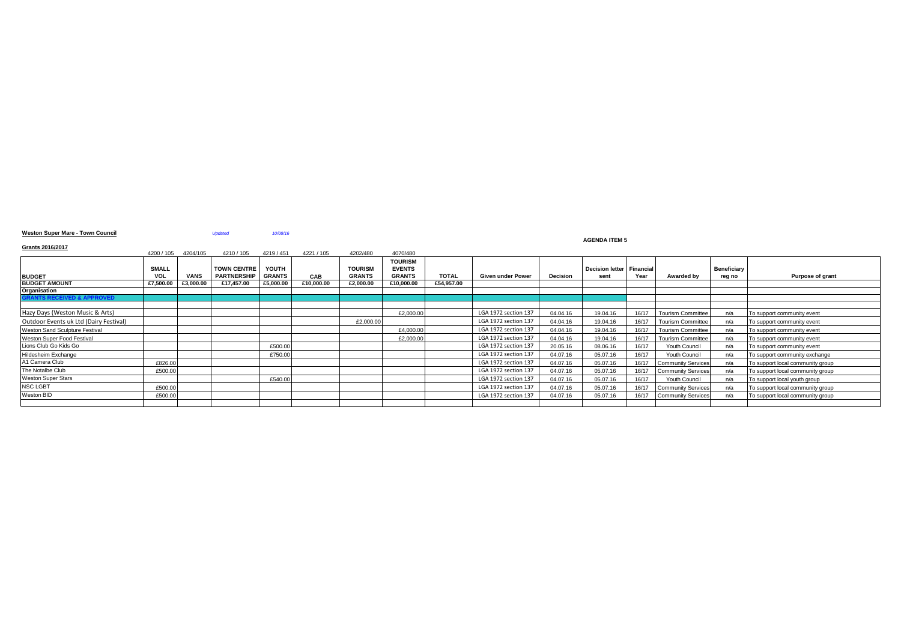### **Weston Super Mare - Town Council** *Updated 10/08/16*

#### **AGENDA ITEM 5**

### **Grants 2016/2017**

| Grants Zuruzurr                        |              |             |                    |               |            |                |                |              |                      |                 |                           |       |                           |                    |                                  |
|----------------------------------------|--------------|-------------|--------------------|---------------|------------|----------------|----------------|--------------|----------------------|-----------------|---------------------------|-------|---------------------------|--------------------|----------------------------------|
|                                        | 4200 / 105   | 4204/105    | 4210 / 105         | 4219 / 451    | 4221 / 105 | 4202/480       | 4070/480       |              |                      |                 |                           |       |                           |                    |                                  |
|                                        |              |             |                    |               |            |                | <b>TOURISM</b> |              |                      |                 |                           |       |                           |                    |                                  |
|                                        | <b>SMALL</b> |             | <b>TOWN CENTRE</b> | YOUTH         |            | <b>TOURISM</b> | <b>EVENTS</b>  |              |                      |                 | Decision letter Financial |       |                           | <b>Beneficiary</b> |                                  |
| <b>BUDGET</b>                          | <b>VOL</b>   | <b>VANS</b> | <b>PARTNERSHIP</b> | <b>GRANTS</b> | CAB        | <b>GRANTS</b>  | <b>GRANTS</b>  | <b>TOTAL</b> | Given under Power    | <b>Decision</b> | sent                      | Year  | Awarded by                | reg no             | Purpose of grant                 |
| <b>BUDGET AMOUNT</b>                   | £7,500.00    | £3,000.00   | £17,457.00         | £5,000.00     | £10,000.00 | £2,000.00      | £10,000.00     | £54,957.00   |                      |                 |                           |       |                           |                    |                                  |
| Organisation                           |              |             |                    |               |            |                |                |              |                      |                 |                           |       |                           |                    |                                  |
| <b>SRANTS RECEIVED &amp; APPROVED</b>  |              |             |                    |               |            |                |                |              |                      |                 |                           |       |                           |                    |                                  |
|                                        |              |             |                    |               |            |                |                |              |                      |                 |                           |       |                           |                    |                                  |
| Hazy Days (Weston Music & Arts)        |              |             |                    |               |            |                | £2,000.00      |              | LGA 1972 section 137 | 04.04.16        | 19.04.16                  | 16/17 | <b>Tourism Committee</b>  | n/a                | To support community event       |
| Outdoor Events uk Ltd (Dairy Festival) |              |             |                    |               |            | £2,000.00      |                |              | LGA 1972 section 137 | 04.04.16        | 19.04.16                  | 16/17 | <b>Tourism Committee</b>  | n/a                | To support community event       |
| Weston Sand Sculpture Festival         |              |             |                    |               |            |                | £4.000.00      |              | LGA 1972 section 137 | 04.04.16        | 19.04.16                  | 16/17 | <b>Tourism Committee</b>  | n/a                | To support community event       |
| Weston Super Food Festival             |              |             |                    |               |            |                | £2,000.00      |              | LGA 1972 section 137 | 04.04.16        | 19.04.16                  | 16/17 | <b>Tourism Committee</b>  | n/a                | To support community event       |
| Lions Club Go Kids Go                  |              |             |                    | £500.00       |            |                |                |              | LGA 1972 section 137 | 20.05.16        | 08.06.16                  | 16/17 | Youth Council             | n/a                | To support community event       |
| Hildesheim Exchange                    |              |             |                    | £750.00       |            |                |                |              | LGA 1972 section 137 | 04.07.16        | 05.07.16                  | 16/17 | <b>Youth Council</b>      | n/a                | To support community exchange    |
| A1 Camera Club                         | £826.0       |             |                    |               |            |                |                |              | LGA 1972 section 137 | 04.07.16        | 05.07.16                  | 16/17 | <b>Community Services</b> | n/a                | To support local community group |
| The Notalbe Club                       | £500.0       |             |                    |               |            |                |                |              | LGA 1972 section 137 | 04.07.16        | 05.07.16                  | 16/17 | <b>Community Services</b> | n/a                | To support local community group |
| <b>Weston Super Stars</b>              |              |             |                    | £540.00       |            |                |                |              | LGA 1972 section 137 | 04.07.16        | 05.07.16                  | 16/17 | Youth Council             | n/a                | To support local youth group     |
| <b>NSC LGBT</b>                        | £500.0       |             |                    |               |            |                |                |              | LGA 1972 section 137 | 04.07.16        | 05.07.16                  | 16/17 | <b>Community Services</b> | n/a                | To support local community group |
| Weston BID                             | £500.0       |             |                    |               |            |                |                |              | LGA 1972 section 137 | 04.07.16        | 05.07.16                  | 16/17 | <b>Community Services</b> | n/a                | To support local community group |
|                                        |              |             |                    |               |            |                |                |              |                      |                 |                           |       |                           |                    |                                  |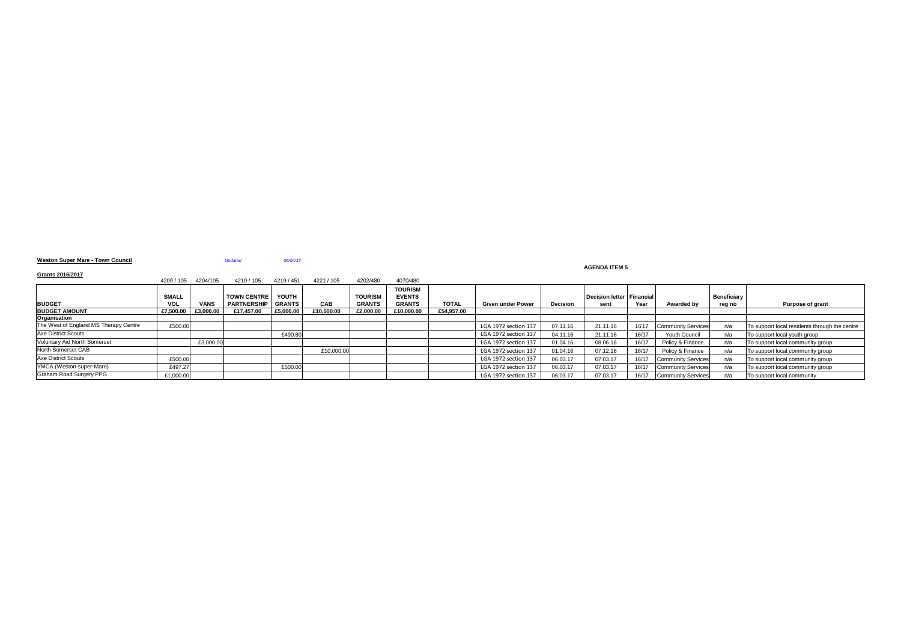### **Weston Super Mare - Town Council** *Updated 06/04/17*

### **AGENDA ITEM 5**

| Grants 2016/2017                      | 4200 / 105   | 4204/105    | 4210 / 105         | 4219 / 451    | 4221 / 105 | 4202/480       | 4070/480                        |              |                          |                 |                             |       |                           |                    |                                               |
|---------------------------------------|--------------|-------------|--------------------|---------------|------------|----------------|---------------------------------|--------------|--------------------------|-----------------|-----------------------------|-------|---------------------------|--------------------|-----------------------------------------------|
|                                       | <b>SMALL</b> |             | <b>TOWN CENTRE</b> | YOUTH         |            | <b>TOURISM</b> | <b>TOURISM</b><br><b>EVENTS</b> |              |                          |                 | Decision letter   Financial |       |                           | <b>Beneficiary</b> |                                               |
| <b>BUDGET</b>                         | <b>VOL</b>   | <b>VANS</b> | <b>PARTNERSHIP</b> | <b>GRANTS</b> | <b>CAB</b> | <b>GRANTS</b>  | <b>GRANTS</b>                   | <b>TOTAL</b> | <b>Given under Power</b> | <b>Decision</b> | sent                        | Year  | Awarded by                | reg no             | <b>Purpose of grant</b>                       |
| <b>BUDGET AMOUNT</b>                  | £7,500.00    | £3,000.00   | £17,457.00         | £5,000.00     | £10,000.00 | £2,000.00      | £10,000.00                      | £54,957.00   |                          |                 |                             |       |                           |                    |                                               |
| Organisation                          |              |             |                    |               |            |                |                                 |              |                          |                 |                             |       |                           |                    |                                               |
| The West of England MS Therapy Centre | £500.00      |             |                    |               |            |                |                                 |              | LGA 1972 section 137     | 07.11.16        | 21.11.16                    | 16'17 | <b>Community Services</b> | n/a                | To support local residents through the centre |
| <b>Axe District Scouts</b>            |              |             |                    | £490.80       |            |                |                                 |              | LGA 1972 section 137     | 04.11.16        | 21.11.16                    | 16/17 | <b>Youth Council</b>      | n/a                | To support local youth group                  |
| Voluntary Aid North Somerset          |              | £3,000.00   |                    |               |            |                |                                 |              | LGA 1972 section 137     | 01.04.16        | 08.06.16                    | 16/17 | Policy & Finance          | n/a                | To support local community group              |
| North Somerset CAB                    |              |             |                    |               | £10,000.00 |                |                                 |              | LGA 1972 section 137     | 01.04.16        | 07.12.16                    | 16/17 | Policy & Finance          | n/a                | To support local community group              |
| <b>Axe District Scouts</b>            | £500.00      |             |                    |               |            |                |                                 |              | LGA 1972 section 137     | 06.03.17        | 07.03.17                    | 16/17 | <b>Community Services</b> | n/a                | To support local community group              |
| YMCA (Weston-super-Mare)              | £497.27      |             |                    | £500.00       |            |                |                                 |              | LGA 1972 section 137     | 06.03.17        | 07.03.17                    | 16/17 | <b>Community Services</b> | n/a                | To support local community group              |
| <b>Graham Road Surgery PPG</b>        | £1,000.00    |             |                    |               |            |                |                                 |              | LGA 1972 section 137     | 06.03.17        | 07.03.17                    | 16/17 | <b>Community Services</b> | n/a                | To support local community                    |